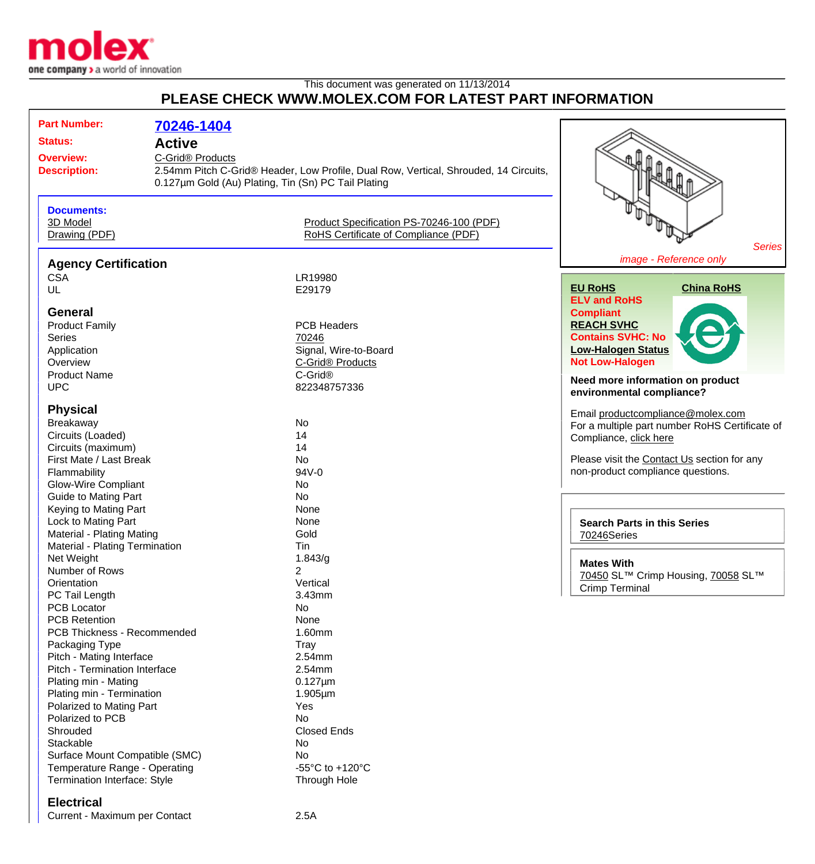

## This document was generated on 11/13/2014 **PLEASE CHECK WWW.MOLEX.COM FOR LATEST PART INFORMATION**

| <b>Part Number:</b> |                                                           |                                                     |                                                                                      |                                                |
|---------------------|-----------------------------------------------------------|-----------------------------------------------------|--------------------------------------------------------------------------------------|------------------------------------------------|
|                     |                                                           | 70246-1404                                          |                                                                                      |                                                |
|                     | <b>Status:</b>                                            | <b>Active</b>                                       |                                                                                      |                                                |
|                     | <b>Overview:</b>                                          | C-Grid® Products                                    |                                                                                      |                                                |
|                     | <b>Description:</b>                                       |                                                     | 2.54mm Pitch C-Grid® Header, Low Profile, Dual Row, Vertical, Shrouded, 14 Circuits, |                                                |
|                     |                                                           | 0.127um Gold (Au) Plating, Tin (Sn) PC Tail Plating |                                                                                      |                                                |
|                     |                                                           |                                                     |                                                                                      |                                                |
|                     |                                                           |                                                     |                                                                                      |                                                |
|                     | <b>Documents:</b>                                         |                                                     |                                                                                      |                                                |
|                     | 3D Model                                                  |                                                     | Product Specification PS-70246-100 (PDF)                                             |                                                |
|                     | Drawing (PDF)                                             |                                                     | RoHS Certificate of Compliance (PDF)                                                 |                                                |
|                     |                                                           |                                                     |                                                                                      | <b>Series</b>                                  |
|                     | <b>Agency Certification</b>                               |                                                     |                                                                                      | image - Reference only                         |
|                     | <b>CSA</b>                                                |                                                     | LR19980                                                                              |                                                |
|                     | UL                                                        |                                                     | E29179                                                                               | <b>EU RoHS</b><br><b>China RoHS</b>            |
|                     |                                                           |                                                     |                                                                                      | <b>ELV and RoHS</b>                            |
|                     | <b>General</b>                                            |                                                     |                                                                                      | <b>Compliant</b>                               |
|                     | <b>Product Family</b>                                     |                                                     | <b>PCB Headers</b>                                                                   | <b>REACH SVHC</b>                              |
|                     | <b>Series</b>                                             |                                                     | 70246                                                                                | <b>Contains SVHC: No</b>                       |
|                     | Application                                               |                                                     | Signal, Wire-to-Board                                                                | <b>Low-Halogen Status</b>                      |
|                     | Overview                                                  |                                                     | C-Grid® Products                                                                     | <b>Not Low-Halogen</b>                         |
|                     | <b>Product Name</b>                                       |                                                     | C-Grid <sup>®</sup>                                                                  |                                                |
|                     | <b>UPC</b>                                                |                                                     | 822348757336                                                                         | Need more information on product               |
|                     |                                                           |                                                     |                                                                                      | environmental compliance?                      |
|                     | <b>Physical</b>                                           |                                                     |                                                                                      | Email productcompliance@molex.com              |
|                     | Breakaway                                                 |                                                     | No                                                                                   | For a multiple part number RoHS Certificate of |
|                     | Circuits (Loaded)                                         |                                                     | 14                                                                                   | Compliance, click here                         |
|                     | Circuits (maximum)                                        |                                                     | 14                                                                                   |                                                |
|                     | First Mate / Last Break                                   |                                                     | No                                                                                   | Please visit the Contact Us section for any    |
|                     | Flammability                                              |                                                     | 94V-0                                                                                | non-product compliance questions.              |
|                     | <b>Glow-Wire Compliant</b>                                |                                                     | No                                                                                   |                                                |
|                     | <b>Guide to Mating Part</b>                               |                                                     | No                                                                                   |                                                |
|                     | Keying to Mating Part                                     |                                                     | None                                                                                 |                                                |
|                     | Lock to Mating Part                                       |                                                     | None                                                                                 |                                                |
|                     | <b>Material - Plating Mating</b>                          |                                                     | Gold                                                                                 | <b>Search Parts in this Series</b>             |
|                     | Material - Plating Termination                            |                                                     | Tin                                                                                  | 70246Series                                    |
|                     | Net Weight                                                |                                                     |                                                                                      |                                                |
|                     | Number of Rows                                            |                                                     | 1.843/g<br>$\overline{2}$                                                            | <b>Mates With</b>                              |
|                     |                                                           |                                                     | Vertical                                                                             | 70450 SL™ Crimp Housing, 70058 SL™             |
|                     | Orientation<br>PC Tail Length                             |                                                     | 3.43mm                                                                               | <b>Crimp Terminal</b>                          |
|                     | <b>PCB Locator</b>                                        |                                                     | No                                                                                   |                                                |
|                     | <b>PCB Retention</b>                                      |                                                     | None                                                                                 |                                                |
|                     | PCB Thickness - Recommended                               |                                                     | 1.60mm                                                                               |                                                |
|                     |                                                           |                                                     |                                                                                      |                                                |
|                     | Packaging Type                                            |                                                     | Tray<br>2.54mm                                                                       |                                                |
|                     | Pitch - Mating Interface<br>Pitch - Termination Interface |                                                     | 2.54mm                                                                               |                                                |
|                     |                                                           |                                                     |                                                                                      |                                                |
|                     | Plating min - Mating                                      |                                                     | $0.127 \mu m$                                                                        |                                                |
|                     | Plating min - Termination                                 |                                                     | $1.905 \mu m$                                                                        |                                                |
|                     | Polarized to Mating Part                                  |                                                     | Yes                                                                                  |                                                |
|                     | Polarized to PCB                                          |                                                     | No                                                                                   |                                                |
|                     | Shrouded                                                  |                                                     | <b>Closed Ends</b>                                                                   |                                                |
|                     | Stackable                                                 |                                                     | No                                                                                   |                                                |
|                     | Surface Mount Compatible (SMC)                            |                                                     | No                                                                                   |                                                |
|                     | Temperature Range - Operating                             |                                                     | -55 $\mathrm{^{\circ}C}$ to +120 $\mathrm{^{\circ}C}$                                |                                                |
|                     | Termination Interface: Style                              |                                                     | Through Hole                                                                         |                                                |
|                     | <b>Electrical</b>                                         |                                                     |                                                                                      |                                                |
|                     |                                                           |                                                     |                                                                                      |                                                |

Current - Maximum per Contact 2.5A